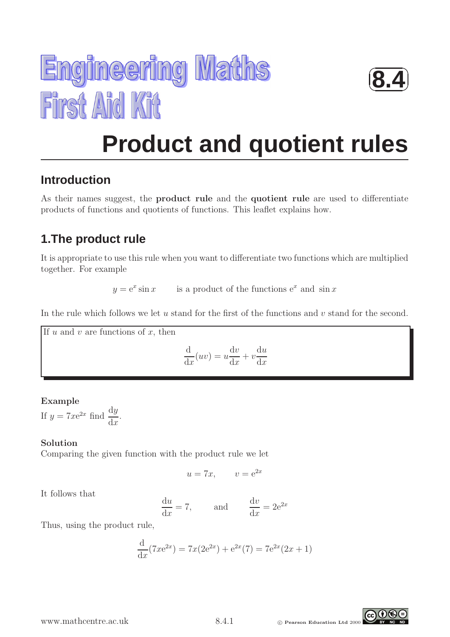



# **Product and quotient rules**

## **Introduction**

As their names suggest, the product rule and the quotient rule are used to differentiate products of functions and quotients of functions. This leaflet explains how.

## **1.The product rule**

It is appropriate to use this rule when you want to differentiate two functions which are multiplied together. For example

> $y = e^x \sin x$  $\sin x$  is a product of the functions  $e^x$  and  $\sin x$

In the rule which follows we let  $u$  stand for the first of the functions and  $v$  stand for the second.

If  $u$  and  $v$  are functions of  $x$ , then

$$
\frac{\mathrm{d}}{\mathrm{d}x}(uv) = u\frac{\mathrm{d}v}{\mathrm{d}x} + v\frac{\mathrm{d}u}{\mathrm{d}x}
$$

## Example

If  $y = 7xe^{2x}$  find  $\frac{dy}{dx}$  $dx$ .

## Solution

Comparing the given function with the product rule we let

$$
u = 7x, \qquad v = e^{2x}
$$

It follows that

$$
\frac{du}{dx} = 7, \qquad \text{and} \qquad \frac{dv}{dx} = 2e^{2x}
$$

Thus, using the product rule,

$$
\frac{d}{dx}(7xe^{2x}) = 7x(2e^{2x}) + e^{2x}(7) = 7e^{2x}(2x+1)
$$

WWW.mathcentre.ac.uk 8.4.1 © Pearson Education Ltd 2000